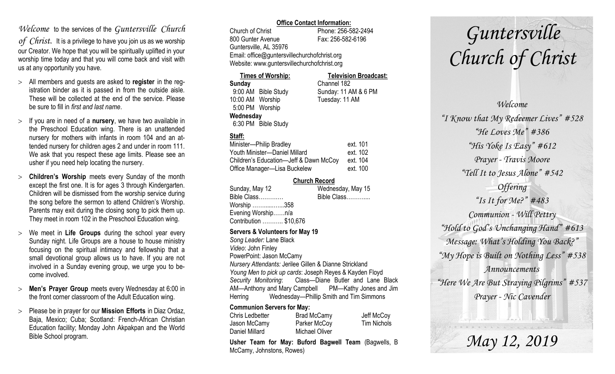## *Welcome* to the services of the *Guntersville Church*

*of Christ*. It is a privilege to have you join us as we worship our Creator. We hope that you will be spiritually uplifted in your worship time today and that you will come back and visit with us at any opportunity you have.

- All members and guests are asked to **register** in the registration binder as it is passed in from the outside aisle. These will be collected at the end of the service. Please be sure to fill in *first and last name*.
- $>$  If you are in need of a **nursery**, we have two available in the Preschool Education wing. There is an unattended nursery for mothers with infants in room 104 and an attended nursery for children ages 2 and under in room 111. We ask that you respect these age limits. Please see an usher if you need help locating the nursery.
- **Children's Worship** meets every Sunday of the month except the first one. It is for ages 3 through Kindergarten. Children will be dismissed from the worship service during the song before the sermon to attend Children's Worship. Parents may exit during the closing song to pick them up. They meet in room 102 in the Preschool Education wing.
- We meet in **Life Groups** during the school year every Sunday night. Life Groups are a house to house ministry focusing on the spiritual intimacy and fellowship that a small devotional group allows us to have. If you are not involved in a Sunday evening group, we urge you to become involved.
- **Men's Prayer Group** meets every Wednesday at 6:00 in the front corner classroom of the Adult Education wing.
- Please be in prayer for our **Mission Efforts** in Diaz Ordaz, Baja, Mexico; Cuba; Scotland: French-African Christian Education facility; Monday John Akpakpan and the World Bible School program.

### **Office Contact Information:**

Church of Christ Phone: 256-582-2494 800 Gunter Avenue Fax: 256-582-6196 Guntersville, AL 35976 Email: office@guntersvillechurchofchrist.org Website: www.guntersvillechurchofchrist.org

| <b>Times of Worship:</b> |                     | <b>Television Broadcast:</b> |  |
|--------------------------|---------------------|------------------------------|--|
| Sunday                   |                     | Channel 182                  |  |
|                          | 9:00 AM Bible Study | Sunday: 11 AM & 6 PM         |  |
| 10:00 AM Worship         |                     | Tuesday: 11 AM               |  |
| 5:00 PM Worship          |                     |                              |  |
| Wednesday                |                     |                              |  |
|                          | 6:30 PM Bible Study |                              |  |

## **Staff:**

| Minister-Philip Bradley                | ext. 101 |
|----------------------------------------|----------|
| Youth Minister-Daniel Millard          | ext. 102 |
| Children's Education-Jeff & Dawn McCoy | ext. 104 |
| Office Manager-Lisa Buckelew           | ext. 100 |

## **Church Record**

| Sunday, May 12         | Wednesday, May 15 |
|------------------------|-------------------|
| Bible Class            | Bible Class       |
| Worship 358            |                   |
| Evening Worshipn/a     |                   |
| Contribution  \$10,676 |                   |
|                        |                   |

#### **Servers & Volunteers for May 19**

*Song Leader:* Lane Black *Video*: John Finley PowerPoint: Jason McCamy *Nursery Attendants:* Jerilee Gillen & Dianne Strickland *Young Men to pick up cards*: Joseph Reyes & Kayden Floyd *Security Monitoring*: Class—Diane Butler and Lane Black AM—Anthony and Mary Campbell PM—Kathy Jones and Jim Herring Wednesday—Phillip Smith and Tim Simmons

## **Communion Servers for May:**

| Chris Ledbetter | <b>Brad McCamy</b> | Jeff McCoy  |
|-----------------|--------------------|-------------|
| Jason McCamy    | Parker McCoy       | Tim Nichols |
| Daniel Millard  | Michael Oliver     |             |

**Usher Team for May: Buford Bagwell Team** (Bagwells, B McCamy, Johnstons, Rowes)

# *Guntersville Church of Christ*

*Welcome "I Know that My Redeemer Lives" #528 "He Loves Me" #386 "His Yoke Is Easy" #612 Prayer - Travis Moore "Tell It to Jesus Alone" #542 Offering "Is It for Me?" #483 Communion - Will Pettry "Hold to God's Unchanging Hand" #613 Message: What's Holding You Back?" "My Hope is Built on Nothing Less" #538 Announcements "Here We Are But Straying Pilgrims" #537 Prayer - Nic Cavender*